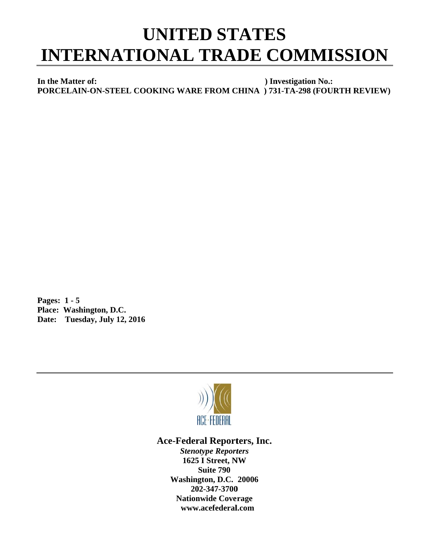## **UNITED STATES INTERNATIONAL TRADE COMMISSION**

In the Matter of: ) Investigation No.: PORCELAIN-ON-STEEL COOKING WARE FROM CHINA ) 731-TA-298 (FOURTH REVIEW)

Pages:  $1 - 5$ Place: Washington, D.C. Date: Tuesday, July 12, 2016



## **Ace-Federal Reporters, Inc.**

**Stenotype Reporters** 1625 I Street, NW **Suite 790** Washington, D.C. 20006 202-347-3700 **Nationwide Coverage** www.acefederal.com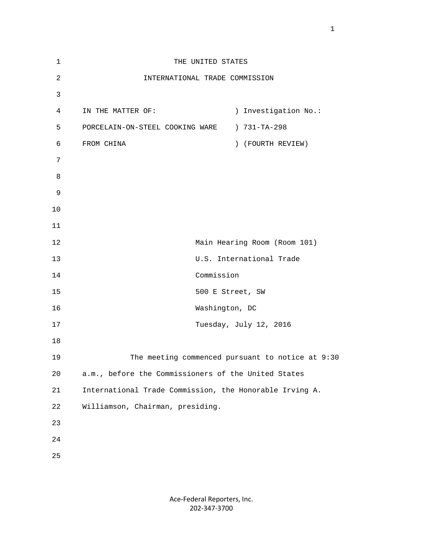| $\mathbf 1$    | THE UNITED STATES                                       |                          |
|----------------|---------------------------------------------------------|--------------------------|
| $\overline{a}$ | INTERNATIONAL TRADE COMMISSION                          |                          |
| 3              |                                                         |                          |
| 4              | IN THE MATTER OF:                                       | ) Investigation No.:     |
| 5              | PORCELAIN-ON-STEEL COOKING WARE                         | ) 731-TA-298             |
| 6              | FROM CHINA                                              | ) (FOURTH REVIEW)        |
| 7              |                                                         |                          |
| 8              |                                                         |                          |
| 9              |                                                         |                          |
| 10             |                                                         |                          |
| 11             |                                                         |                          |
| 12             | Main Hearing Room (Room 101)                            |                          |
| 13             |                                                         | U.S. International Trade |
| 14             | Commission                                              |                          |
| 15             | 500 E Street, SW                                        |                          |
| 16             | Washington, DC                                          |                          |
| 17             |                                                         | Tuesday, July 12, 2016   |
| 18             |                                                         |                          |
| 19             | The meeting commenced pursuant to notice at 9:30        |                          |
| 20             | a.m., before the Commissioners of the United States     |                          |
| 21             | International Trade Commission, the Honorable Irving A. |                          |
| 22             | Williamson, Chairman, presiding.                        |                          |
| 23             |                                                         |                          |
| 24             |                                                         |                          |
| 25             |                                                         |                          |
|                |                                                         |                          |

Ace‐Federal Reporters, Inc. 202‐347‐3700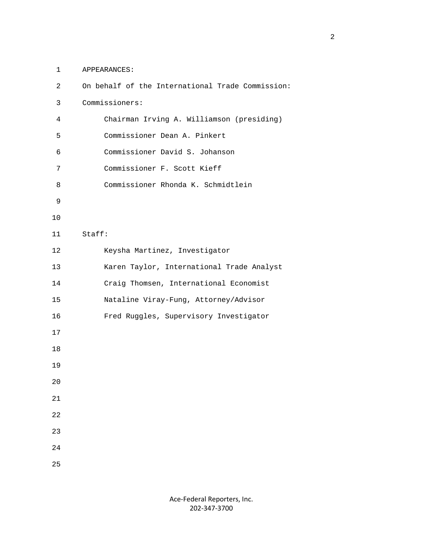1 APPEARANCES:

| 2  | On behalf of the International Trade Commission: |  |
|----|--------------------------------------------------|--|
| 3  | Commissioners:                                   |  |
| 4  | Chairman Irving A. Williamson (presiding)        |  |
| 5  | Commissioner Dean A. Pinkert                     |  |
| 6  | Commissioner David S. Johanson                   |  |
| 7  | Commissioner F. Scott Kieff                      |  |
| 8  | Commissioner Rhonda K. Schmidtlein               |  |
| 9  |                                                  |  |
| 10 |                                                  |  |
| 11 | Staff:                                           |  |
| 12 | Keysha Martinez, Investigator                    |  |
| 13 | Karen Taylor, International Trade Analyst        |  |
| 14 | Craig Thomsen, International Economist           |  |
| 15 | Nataline Viray-Fung, Attorney/Advisor            |  |
| 16 | Fred Ruggles, Supervisory Investigator           |  |
| 17 |                                                  |  |
| 18 |                                                  |  |
| 19 |                                                  |  |
| 20 |                                                  |  |
| 21 |                                                  |  |
| 22 |                                                  |  |
| 23 |                                                  |  |
| 24 |                                                  |  |
| 25 |                                                  |  |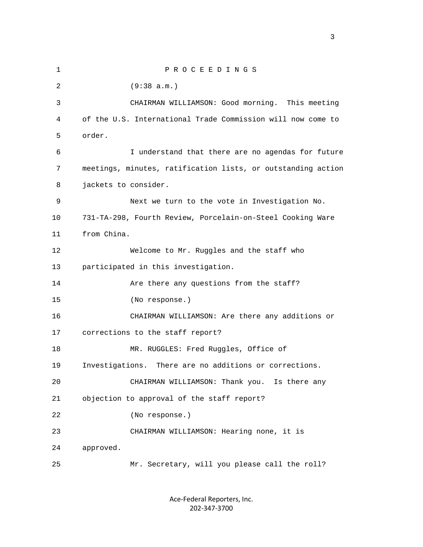1 P R O C E E D I N G S 2 (9:38 a.m.) 3 CHAIRMAN WILLIAMSON: Good morning. This meeting 4 of the U.S. International Trade Commission will now come to 5 order. 6 I understand that there are no agendas for future 7 meetings, minutes, ratification lists, or outstanding action 8 jackets to consider. 9 Next we turn to the vote in Investigation No. 10 731-TA-298, Fourth Review, Porcelain-on-Steel Cooking Ware 11 from China. 12 Welcome to Mr. Ruggles and the staff who 13 participated in this investigation. 14 Are there any questions from the staff? 15 (No response.) 16 CHAIRMAN WILLIAMSON: Are there any additions or 17 corrections to the staff report? 18 MR. RUGGLES: Fred Ruggles, Office of 19 Investigations. There are no additions or corrections. 20 CHAIRMAN WILLIAMSON: Thank you. Is there any 21 objection to approval of the staff report? 22 (No response.) 23 CHAIRMAN WILLIAMSON: Hearing none, it is 24 approved. 25 Mr. Secretary, will you please call the roll?

> Ace‐Federal Reporters, Inc. 202‐347‐3700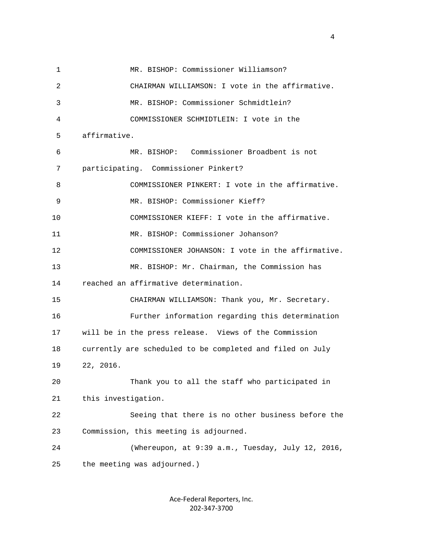1 MR. BISHOP: Commissioner Williamson? 2 CHAIRMAN WILLIAMSON: I vote in the affirmative. 3 MR. BISHOP: Commissioner Schmidtlein? 4 COMMISSIONER SCHMIDTLEIN: I vote in the 5 affirmative. 6 MR. BISHOP: Commissioner Broadbent is not 7 participating. Commissioner Pinkert? 8 COMMISSIONER PINKERT: I vote in the affirmative. 9 MR. BISHOP: Commissioner Kieff? 10 COMMISSIONER KIEFF: I vote in the affirmative. 11 MR. BISHOP: Commissioner Johanson? 12 COMMISSIONER JOHANSON: I vote in the affirmative. 13 MR. BISHOP: Mr. Chairman, the Commission has 14 reached an affirmative determination. 15 CHAIRMAN WILLIAMSON: Thank you, Mr. Secretary. 16 Further information regarding this determination 17 will be in the press release. Views of the Commission 18 currently are scheduled to be completed and filed on July 19 22, 2016. 20 Thank you to all the staff who participated in 21 this investigation. 22 Seeing that there is no other business before the 23 Commission, this meeting is adjourned. 24 (Whereupon, at 9:39 a.m., Tuesday, July 12, 2016, 25 the meeting was adjourned.)

> Ace‐Federal Reporters, Inc. 202‐347‐3700

4